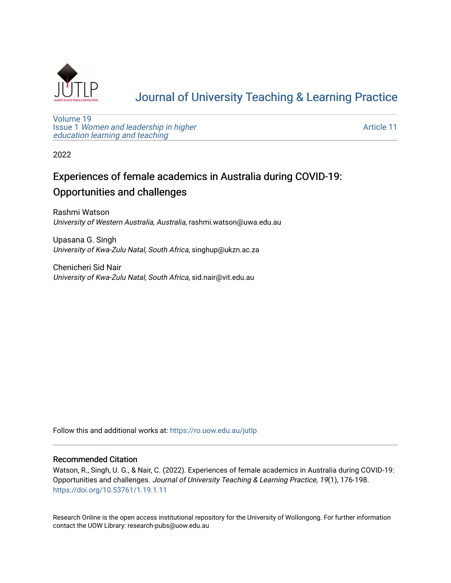

# [Journal of University Teaching & Learning Practice](https://ro.uow.edu.au/jutlp)

[Volume 19](https://ro.uow.edu.au/jutlp/vol19) Issue 1 [Women and leadership in higher](https://ro.uow.edu.au/jutlp/vol19/iss1) [education learning and teaching](https://ro.uow.edu.au/jutlp/vol19/iss1)

[Article 11](https://ro.uow.edu.au/jutlp/vol19/iss1/11) 

2022

# Experiences of female academics in Australia during COVID-19: Opportunities and challenges

Rashmi Watson University of Western Australia, Australia, rashmi.watson@uwa.edu.au

Upasana G. Singh University of Kwa-Zulu Natal, South Africa, singhup@ukzn.ac.za

Chenicheri Sid Nair University of Kwa-Zulu Natal, South Africa, sid.nair@vit.edu.au

Follow this and additional works at: [https://ro.uow.edu.au/jutlp](https://ro.uow.edu.au/jutlp?utm_source=ro.uow.edu.au%2Fjutlp%2Fvol19%2Fiss1%2F11&utm_medium=PDF&utm_campaign=PDFCoverPages) 

# Recommended Citation

Watson, R., Singh, U. G., & Nair, C. (2022). Experiences of female academics in Australia during COVID-19: Opportunities and challenges. Journal of University Teaching & Learning Practice, 19(1), 176-198. <https://doi.org/10.53761/1.19.1.11>

Research Online is the open access institutional repository for the University of Wollongong. For further information contact the UOW Library: research-pubs@uow.edu.au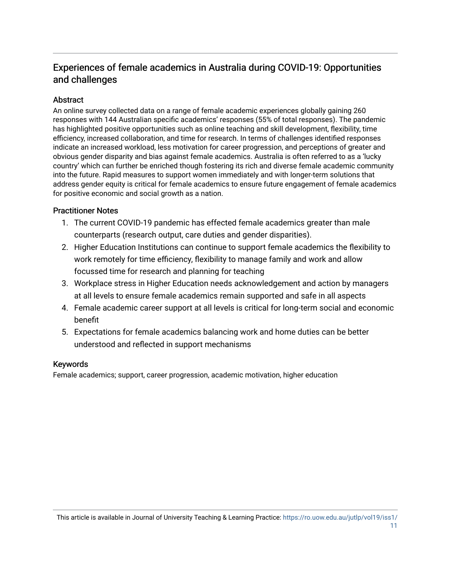# Experiences of female academics in Australia during COVID-19: Opportunities and challenges

# **Abstract**

An online survey collected data on a range of female academic experiences globally gaining 260 responses with 144 Australian specific academics' responses (55% of total responses). The pandemic has highlighted positive opportunities such as online teaching and skill development, flexibility, time efficiency, increased collaboration, and time for research. In terms of challenges identified responses indicate an increased workload, less motivation for career progression, and perceptions of greater and obvious gender disparity and bias against female academics. Australia is often referred to as a 'lucky country' which can further be enriched though fostering its rich and diverse female academic community into the future. Rapid measures to support women immediately and with longer-term solutions that address gender equity is critical for female academics to ensure future engagement of female academics for positive economic and social growth as a nation.

# Practitioner Notes

- 1. The current COVID-19 pandemic has effected female academics greater than male counterparts (research output, care duties and gender disparities).
- 2. Higher Education Institutions can continue to support female academics the flexibility to work remotely for time efficiency, flexibility to manage family and work and allow focussed time for research and planning for teaching
- 3. Workplace stress in Higher Education needs acknowledgement and action by managers at all levels to ensure female academics remain supported and safe in all aspects
- 4. Female academic career support at all levels is critical for long-term social and economic benefit
- 5. Expectations for female academics balancing work and home duties can be better understood and reflected in support mechanisms

# Keywords

Female academics; support, career progression, academic motivation, higher education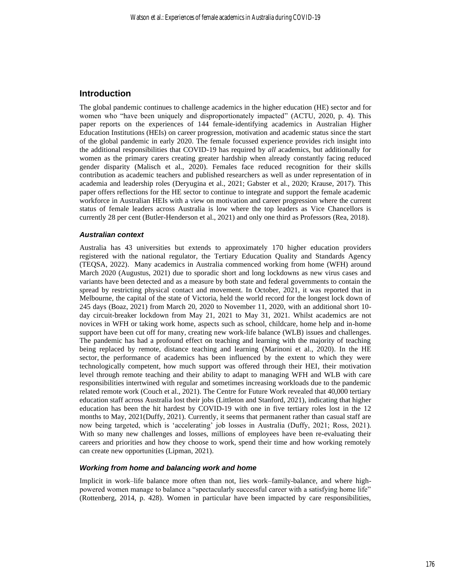# **Introduction**

The global pandemic continues to challenge academics in the higher education (HE) sector and for women who "have been uniquely and disproportionately impacted" (ACTU, 2020, p. 4). This paper reports on the experiences of 144 female-identifying academics in Australian Higher Education Institutions (HEIs) on career progression, motivation and academic status since the start of the global pandemic in early 2020. The female focussed experience provides rich insight into the additional responsibilities that COVID-19 has required by *all* academics, but additionally for women as the primary carers creating greater hardship when already constantly facing reduced gender disparity (Malisch et al., 2020). Females face reduced recognition for their skills contribution as academic teachers and published researchers as well as under representation of in academia and leadership roles (Deryugina et al., 2021; Gabster et al., 2020; Krause, 2017). This paper offers reflections for the HE sector to continue to integrate and support the female academic workforce in Australian HEIs with a view on motivation and career progression where the current status of female leaders across Australia is low where the top leaders as Vice Chancellors is currently 28 per cent (Butler-Henderson et al., 2021) and only one third as Professors (Rea, 2018).

# *Australian context*

Australia has 43 universities but extends to approximately 170 higher education providers registered with the national regulator, the Tertiary Education Quality and Standards Agency (TEQSA, 2022). Many academics in Australia commenced working from home (WFH) around March 2020 (Augustus, 2021) due to sporadic short and long lockdowns as new virus cases and variants have been detected and as a measure by both state and federal governments to contain the spread by restricting physical contact and movement. In October, 2021, it was reported that in Melbourne, the capital of the state of Victoria, held the world record for the longest lock down of 245 days (Boaz, 2021) from March 20, 2020 to November 11, 2020, with an additional short 10 day circuit-breaker lockdown from May 21, 2021 to May 31, 2021. Whilst academics are not novices in WFH or taking work home, aspects such as school, childcare, home help and in-home support have been cut off for many, creating new work-life balance (WLB) issues and challenges. The pandemic has had a profound effect on teaching and learning with the majority of teaching being replaced by remote, distance teaching and learning (Marinoni et al., 2020). In the HE sector, the performance of academics has been influenced by the extent to which they were technologically competent, how much support was offered through their HEI, their motivation level through remote teaching and their ability to adapt to managing WFH and WLB with care responsibilities intertwined with regular and sometimes increasing workloads due to the pandemic related remote work (Couch et al., 2021). The Centre for Future Work revealed that 40,000 tertiary education staff across Australia lost their jobs (Littleton and Stanford, 2021), indicating that higher education has been the hit hardest by COVID-19 with one in five tertiary roles lost in the 12 months to May, 2021(Duffy, 2021). Currently, it seems that permanent rather than casual staff are now being targeted, which is 'accelerating' job losses in Australia (Duffy, 2021; Ross, 2021). With so many new challenges and losses, millions of employees have been re-evaluating their careers and priorities and how they choose to work, spend their time and how working remotely can create new opportunities (Lipman, 2021).

## *Working from home and balancing work and home*

Implicit in work–life balance more often than not, lies work–family-balance, and where highpowered women manage to balance a "spectacularly successful career with a satisfying home life" (Rottenberg, 2014, p. 428). Women in particular have been impacted by care responsibilities,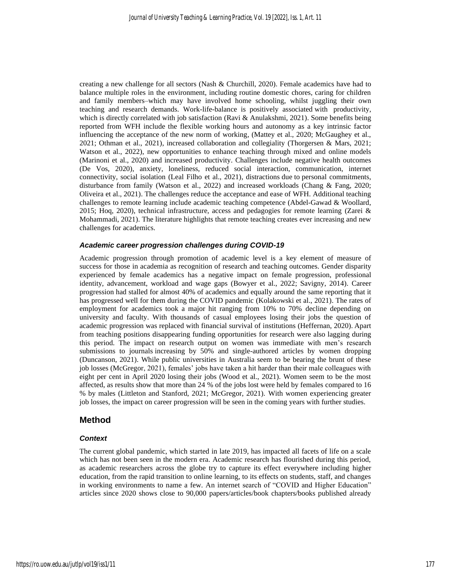creating a new challenge for all sectors (Nash & Churchill, 2020). Female academics have had to balance multiple roles in the environment, including routine domestic chores, caring for children and family members–which may have involved home schooling, whilst juggling their own teaching and research demands. Work-life-balance is positively associated with productivity, which is directly correlated with job satisfaction (Ravi & Anulakshmi, 2021). Some benefits being reported from WFH include the flexible working hours and autonomy as a key intrinsic factor influencing the acceptance of the new norm of working, (Mattey et al., 2020; McGaughey et al., 2021; Othman et al., 2021), increased collaboration and collegiality (Thorgersen & Mars, 2021; Watson et al., 2022), new opportunities to enhance teaching through mixed and online models (Marinoni et al., 2020) and increased productivity. Challenges include negative health outcomes (De Vos, 2020), anxiety, loneliness, reduced social interaction, communication, internet connectivity, social isolation (Leal Filho et al., 2021), distractions due to personal commitments, disturbance from family (Watson et al., 2022) and increased workloads (Chang & Fang, 2020; Oliveira et al., 2021). The challenges reduce the acceptance and ease of WFH. Additional teaching challenges to remote learning include academic teaching competence (Abdel-Gawad & Woollard, 2015; Hoq, 2020), technical infrastructure, access and pedagogies for remote learning (Zarei & Mohammadi, 2021). The literature highlights that remote teaching creates ever increasing and new challenges for academics.

# *Academic career progression challenges during COVID-19*

Academic progression through promotion of academic level is a key element of measure of success for those in academia as recognition of research and teaching outcomes. Gender disparity experienced by female academics has a negative impact on female progression, professional identity, advancement, workload and wage gaps (Bowyer et al., 2022; Savigny, 2014). Career progression had stalled for almost 40% of academics and equally around the same reporting that it has progressed well for them during the COVID pandemic (Kolakowski et al., 2021). The rates of employment for academics took a major hit ranging from 10% to 70% decline depending on university and faculty. With thousands of casual employees losing their jobs the question of academic progression was replaced with financial survival of institutions (Heffernan, 2020). Apart from teaching positions disappearing funding opportunities for research were also lagging during this period. The impact on research output on women was immediate with men's research submissions to journals [increasing](https://www.theguardian.com/education/2020/may/12/womens-research-plummets-during-lockdown-but-articles-from-men-increase) by 50% and single-authored articles by women dropping (Duncanson, 2021). While public universities in Australia seem to be bearing the brunt of these job losses (McGregor, 2021), females' jobs have taken a hit harder than their male colleagues with eight per cent in April 2020 losing their jobs (Wood et al., 2021). Women seem to be the most affected, as results show that more than 24 % of the jobs lost were held by females compared to 16 % by males (Littleton and Stanford, 2021; McGregor, 2021). With women experiencing greater job losses, the impact on career progression will be seen in the coming years with further studies.

# **Method**

# *Context*

The current global pandemic, which started in late 2019, has impacted all facets of life on a scale which has not been seen in the modern era. Academic research has flourished during this period, as academic researchers across the globe try to capture its effect everywhere including higher education, from the rapid transition to online learning, to its effects on students, staff, and changes in working environments to name a few. An internet search of "COVID and Higher Education" articles since 2020 shows close to 90,000 papers/articles/book chapters/books published already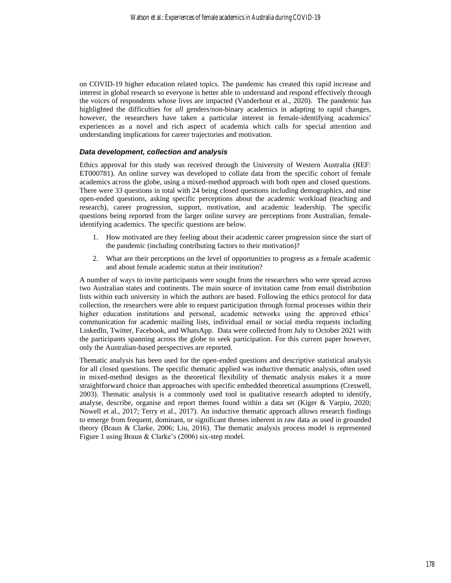on COVID-19 higher education related topics. The pandemic has created this rapid increase and interest in global research so everyone is better able to understand and respond effectively through the voices of respondents whose lives are impacted (Vanderhout et al., 2020). The pandemic has highlighted the difficulties for *all* genders/non-binary academics in adapting to rapid changes, however, the researchers have taken a particular interest in female-identifying academics' experiences as a novel and rich aspect of academia which calls for special attention and understanding implications for career trajectories and motivation.

# *Data development, collection and analysis*

Ethics approval for this study was received through the University of Western Australia (REF: ET000781). An online survey was developed to collate data from the specific cohort of female academics across the globe, using a mixed-method approach with both open and closed questions. There were 33 questions in total with 24 being closed questions including demographics, and nine open-ended questions, asking specific perceptions about the academic workload (teaching and research), career progression, support, motivation, and academic leadership. The specific questions being reported from the larger online survey are perceptions from Australian, femaleidentifying academics. The specific questions are below.

- 1. How motivated are they feeling about their academic career progression since the start of the pandemic (including contributing factors to their motivation)?
- 2. What are their perceptions on the level of opportunities to progress as a female academic and about female academic status at their institution?

A number of ways to invite participants were sought from the researchers who were spread across two Australian states and continents. The main source of invitation came from email distribution lists within each university in which the authors are based. Following the ethics protocol for data collection, the researchers were able to request participation through formal processes within their higher education institutions and personal, academic networks using the approved ethics' communication for academic mailing lists, individual email or social media requests including LinkedIn, Twitter, Facebook, and WhatsApp. Data were collected from July to October 2021 with the participants spanning across the globe to seek participation. For this current paper however, only the Australian-based perspectives are reported.

Thematic analysis has been used for the open-ended questions and descriptive statistical analysis for all closed questions. The specific thematic applied was inductive thematic analysis, often used in mixed-method designs as the theoretical flexibility of thematic analysis makes it a more straightforward choice than approaches with specific embedded theoretical assumptions (Creswell, 2003). Thematic analysis is a commonly used tool in qualitative research adopted to identify, analyse, describe, organise and report themes found within a data set (Kiger & Varpio, 2020; Nowell et al., 2017; Terry et al., 2017). An inductive thematic approach allows research findings to emerge from frequent, dominant, or significant themes inherent in raw data as used in grounded theory (Braun & Clarke, 2006; Liu, 2016). The thematic analysis process model is represented Figure 1 using Braun & Clarke's (2006) six-step model.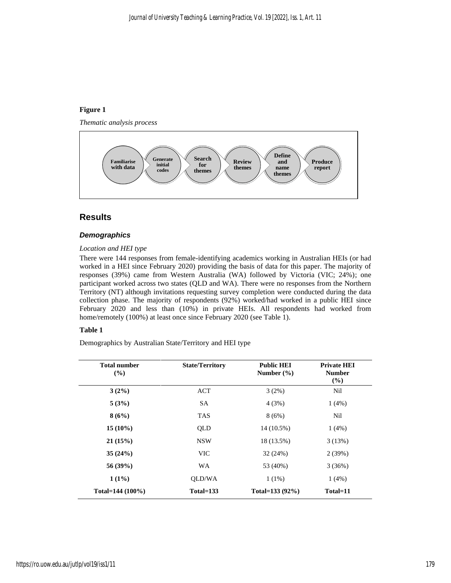# **Figure 1**

*Thematic analysis process*



# **Results**

# *Demographics*

## *Location and HEI type*

There were 144 responses from female-identifying academics working in Australian HEIs (or had worked in a HEI since February 2020) providing the basis of data for this paper. The majority of responses (39%) came from Western Australia (WA) followed by Victoria (VIC; 24%); one participant worked across two states (QLD and WA). There were no responses from the Northern Territory (NT) although invitations requesting survey completion were conducted during the data collection phase. The majority of respondents (92%) worked/had worked in a public HEI since February 2020 and less than (10%) in private HEIs. All respondents had worked from home/remotely (100%) at least once since February 2020 (see Table 1).

## **Table 1**

Demographics by Australian State/Territory and HEI type

| Total number<br>(%) | <b>State/Territory</b> | <b>Public HEI</b><br>Number $(\% )$ | <b>Private HEI</b><br><b>Number</b><br>(%) |
|---------------------|------------------------|-------------------------------------|--------------------------------------------|
| $3(2\%)$            | ACT                    | 3(2%)                               | Nil                                        |
| 5(3%)               | SA.                    | 4(3%)                               | $1(4\%)$                                   |
| 8(6%)               | <b>TAS</b>             | 8(6%)                               | Nil                                        |
| $15(10\%)$          | QLD                    | 14 (10.5%)                          | $1(4\%)$                                   |
| 21(15%)             | <b>NSW</b>             | 18 (13.5%)                          | 3(13%)                                     |
| 35(24%)             | <b>VIC</b>             | 32(24%)                             | 2(39%)                                     |
| $56(39\%)$          | <b>WA</b>              | 53 (40%)                            | 3(36%)                                     |
| $1(1\%)$            | OLD/WA                 | $1(1\%)$                            | $1(4\%)$                                   |
| Total= $144(100\%)$ | Total=133              | Total=133 (92%)                     | Total=11                                   |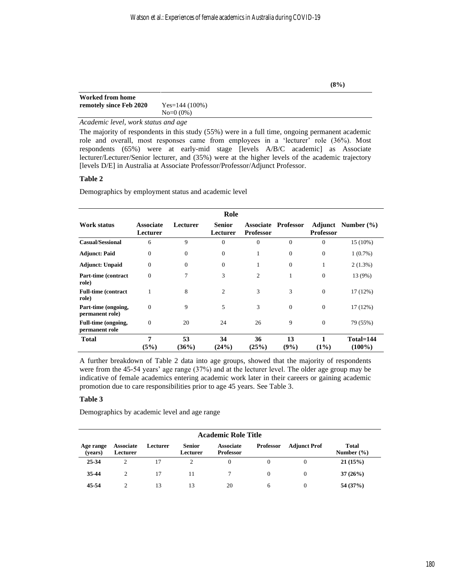| Worked from home        |                  |
|-------------------------|------------------|
| remotely since Feb 2020 | $Yes=144(100\%)$ |
|                         | $No=0$ (0%)      |

# *Academic level, work status and age*

The majority of respondents in this study (55%) were in a full time, ongoing permanent academic role and overall, most responses came from employees in a 'lecturer' role (36%). Most respondents (65%) were at early-mid stage [levels A/B/C academic] as Associate lecturer/Lecturer/Senior lecturer, and (35%) were at the higher levels of the academic trajectory [levels D/E] in Australia at Associate Professor/Professor/Adjunct Professor.

# **Table 2**

Demographics by employment status and academic level

|                                        |                              |                  | Role                      |                  |                            |                  |                           |
|----------------------------------------|------------------------------|------------------|---------------------------|------------------|----------------------------|------------------|---------------------------|
| <b>Work status</b>                     | <b>Associate</b><br>Lecturer | Lecturer         | <b>Senior</b><br>Lecturer | <b>Professor</b> | <b>Associate Professor</b> | <b>Professor</b> | <b>Adjunct</b> Number (%) |
| <b>Casual/Sessional</b>                | 6                            | 9                | $\theta$                  | $\mathbf{0}$     | $\mathbf{0}$               | 0                | 15 (10%)                  |
| <b>Adjunct: Paid</b>                   | $\overline{0}$               | $\mathbf{0}$     | $\overline{0}$            | 1                | $\boldsymbol{0}$           | 0                | $1(0.7\%)$                |
| <b>Adjunct: Unpaid</b>                 | $\overline{0}$               | $\boldsymbol{0}$ | $\overline{0}$            | 1                | $\mathbf{0}$               | 1                | $2(1.3\%)$                |
| Part-time (contract<br>role)           | $\overline{0}$               | 7                | 3                         | $\overline{2}$   | 1                          | $\boldsymbol{0}$ | 13 (9%)                   |
| <b>Full-time (contract)</b><br>role)   |                              | 8                | $\mathfrak{2}$            | 3                | 3                          | $\boldsymbol{0}$ | 17(12%)                   |
| Part-time (ongoing,<br>permanent role) | $\Omega$                     | 9                | 5                         | 3                | $\overline{0}$             | $\overline{0}$   | 17(12%)                   |
| Full-time (ongoing,<br>permanent role  | $\theta$                     | 20               | 24                        | 26               | 9                          | $\overline{0}$   | 79 (55%)                  |
| <b>Total</b>                           | 7<br>(5%)                    | 53<br>(36%)      | 34<br>(24%)               | 36<br>(25%)      | 13<br>(9%)                 | $(1\%)$          | Total=144<br>$(100\%)$    |

A further breakdown of Table 2 data into age groups, showed that the majority of respondents were from the 45-54 years' age range (37%) and at the lecturer level. The older age group may be indicative of female academics entering academic work later in their careers or gaining academic promotion due to care responsibilities prior to age 45 years. See Table 3.

# **Table 3**

Demographics by academic level and age range

| <b>Academic Role Title</b> |                              |          |                           |                                      |                  |                     |                                |
|----------------------------|------------------------------|----------|---------------------------|--------------------------------------|------------------|---------------------|--------------------------------|
| Age range<br>(years)       | <b>Associate</b><br>Lecturer | Lecturer | <b>Senior</b><br>Lecturer | <b>Associate</b><br><b>Professor</b> | <b>Professor</b> | <b>Adjunct Prof</b> | <b>Total</b><br>Number $(\% )$ |
| 25-34                      | 2                            | 17       |                           | 0                                    | $\Omega$         | $\Omega$            | 21(15%)                        |
| 35-44                      | 2                            | 17       |                           |                                      | $\Omega$         | $\Omega$            | 37(26%)                        |
| 45-54                      |                              | 13       | 13                        | 20                                   | 6                | $\Omega$            | 54 (37%)                       |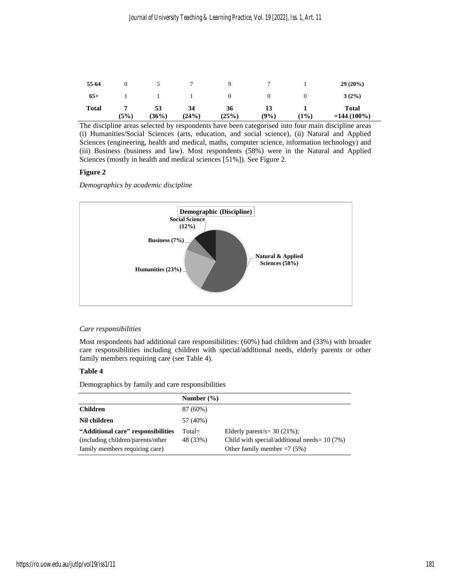| 55-64        |      |             |             |             |            |      | $29(20\%)$              |
|--------------|------|-------------|-------------|-------------|------------|------|-------------------------|
| $65+$        |      |             |             | $\theta$    |            | O    | $3(2\%)$                |
| <b>Total</b> | (5%) | 53<br>(36%) | 34<br>(24%) | 36<br>(25%) | 13<br>(9%) | (1%) | Total<br>$= 144(100\%)$ |

The discipline areas selected by respondents have been categorised into four main discipline areas (i) Humanities/Social Sciences (arts, education, and social science), (ii) Natural and Applied Sciences (engineering, health and medical, maths, computer science, information technology) and (iii) Business (business and law). Most respondents (58%) were in the Natural and Applied Sciences (mostly in health and medical sciences [51%]). See Figure 2.

# **Figure 2**

*Demographics by academic discipline*



# *Care responsibilities*

Most respondents had additional care responsibilities: (60%) had children and (33%) with broader care responsibilities including children with special/additional needs, elderly parents or other family members requiring care (see Table 4).

# **Table 4**

Demographics by family and care responsibilities

|                                    | Number $(\% )$ |                                                 |
|------------------------------------|----------------|-------------------------------------------------|
| <b>Children</b>                    | 87 (60%)       |                                                 |
| Nil children                       | 57 (40%)       |                                                 |
| "Additional care" responsibilities | Total=         | Elderly parent/s= $30(21\%)$ ;                  |
| (including children/parents/other) | 48 (33%)       | Child with special/additional needs = $10(7\%)$ |
| family members requiring care)     |                | Other family member $=7$ (5%)                   |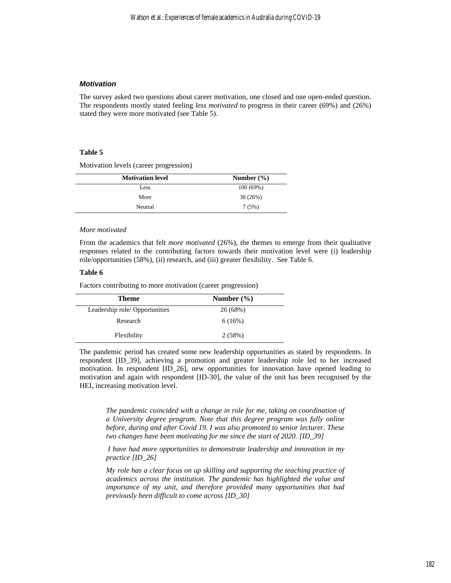## *Motivation*

The survey asked two questions about career motivation, one closed and one open-ended question. The respondents mostly stated feeling *less motivated* to progress in their career (69%) and (26%) stated they were more motivated (see Table 5).

#### **Table 5**

Motivation levels (career progression)

| <b>Motivation level</b> | Number $(\% )$ |
|-------------------------|----------------|
| Less                    | 100(69%)       |
| More                    | 38 (26%)       |
| Neutral                 | 7(5%)          |

#### *More motivated*

From the academics that felt *more motivated* (26%), the themes to emerge from their qualitative responses related to the contributing factors towards their motivation level were (i) leadership role/opportunities (58%), (ii) research, and (iii) greater flexibility. See Table 6.

# **Table 6**

Factors contributing to more motivation (career progression)

| Theme                         | Number $(\% )$ |
|-------------------------------|----------------|
| Leadership role/Opportunities | 26(68%)        |
| Research                      | 6(16%)         |
| Flexibility                   | 2(58%)         |

The pandemic period has created some new leadership opportunities as stated by respondents. In respondent [ID\_39], achieving a promotion and greater leadership role led to her increased motivation. In respondent [ID\_26], new opportunities for innovation have opened leading to motivation and again with respondent [ID-30], the value of the unit has been recognised by the HEI, increasing motivation level.

*The pandemic coincided with a change in role for me, taking on coordination of a University degree program. Note that this degree program was fully online before, during and after Covid 19. I was also promoted to senior lecturer. These two changes have been motivating for me since the start of 2020. [ID\_39]*

*I have had more opportunities to demonstrate leadership and innovation in my practice [ID\_26]*

*My role has a clear focus on up skilling and supporting the teaching practice of academics across the institution. The pandemic has highlighted the value and importance of my unit, and therefore provided many opportunities that had previously been difficult to come across [ID\_30]*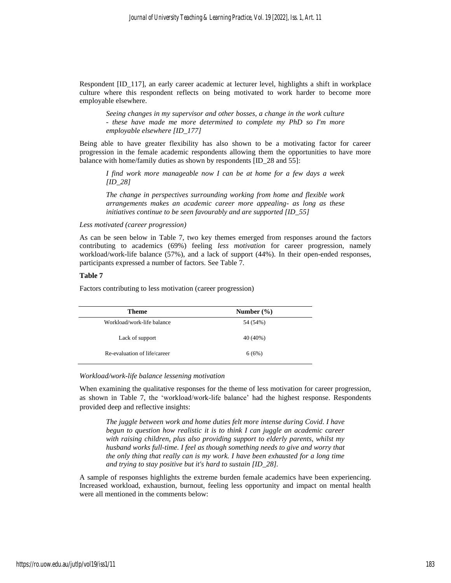Respondent [ID\_117], an early career academic at lecturer level, highlights a shift in workplace culture where this respondent reflects on being motivated to work harder to become more employable elsewhere.

*Seeing changes in my supervisor and other bosses, a change in the work culture - these have made me more determined to complete my PhD so I'm more employable elsewhere [ID\_177]*

Being able to have greater flexibility has also shown to be a motivating factor for career progression in the female academic respondents allowing them the opportunities to have more balance with home/family duties as shown by respondents [ID\_28 and 55]:

*I find work more manageable now I can be at home for a few days a week [ID\_28]*

*The change in perspectives surrounding working from home and flexible work arrangements makes an academic career more appealing- as long as these initiatives continue to be seen favourably and are supported [ID\_55]*

## *Less motivated (career progression)*

As can be seen below in Table 7, two key themes emerged from responses around the factors contributing to academics (69%) feeling *less motivation* for career progression, namely workload/work-life balance (57%), and a lack of support (44%). In their open-ended responses, participants expressed a number of factors. See Table 7.

## **Table 7**

Factors contributing to less motivation (career progression)

| <b>Theme</b>                 | Number $(\% )$ |
|------------------------------|----------------|
| Workload/work-life balance   | 54 (54%)       |
| Lack of support              | 40 (40%)       |
| Re-evaluation of life/career | 6(6%)          |

## *Workload/work-life balance lessening motivation*

When examining the qualitative responses for the theme of less motivation for career progression, as shown in Table 7, the 'workload/work-life balance' had the highest response. Respondents provided deep and reflective insights:

*The juggle between work and home duties felt more intense during Covid. I have begun to question how realistic it is to think I can juggle an academic career with raising children, plus also providing support to elderly parents, whilst my husband works full-time. I feel as though something needs to give and worry that the only thing that really can is my work. I have been exhausted for a long time and trying to stay positive but it's hard to sustain [ID\_28].*

A sample of responses highlights the extreme burden female academics have been experiencing. Increased workload, exhaustion, burnout, feeling less opportunity and impact on mental health were all mentioned in the comments below: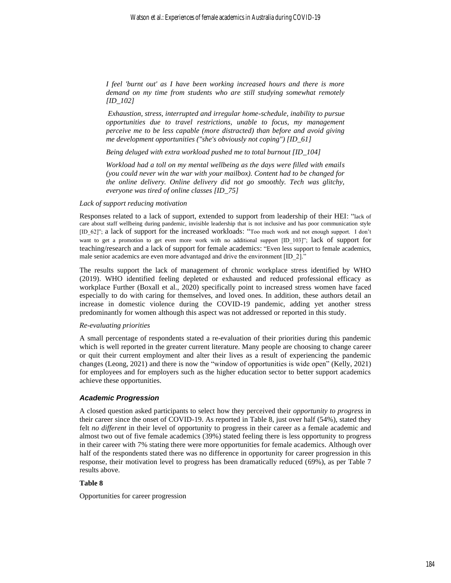*I feel 'burnt out' as I have been working increased hours and there is more demand on my time from students who are still studying somewhat remotely [ID\_102]*

*Exhaustion, stress, interrupted and irregular home-schedule, inability to pursue opportunities due to travel restrictions, unable to focus, my management perceive me to be less capable (more distracted) than before and avoid giving me development opportunities ("she's obviously not coping") [ID\_61]*

*Being deluged with extra workload pushed me to total burnout [ID\_104]*

*Workload had a toll on my mental wellbeing as the days were filled with emails (you could never win the war with your mailbox). Content had to be changed for the online delivery. Online delivery did not go smoothly. Tech was glitchy, everyone was tired of online classes [ID\_75]*

#### *Lack of support reducing motivation*

Responses related to a lack of support, extended to support from leadership of their HEI: "lack of care about staff wellbeing during pandemic, invisible leadership that is not inclusive and has poor communication style [ID\_62]"; a lack of support for the increased workloads: "Too much work and not enough support. I don't want to get a promotion to get even more work with no additional support [ID\_103]"; lack of support for teaching/research and a lack of support for female academics: "Even less support to female academics, male senior academics are even more advantaged and drive the environment [ID\_2]."

The results support the lack of management of chronic workplace stress identified by WHO (2019). WHO identified feeling depleted or exhausted and reduced professional efficacy as workplace Further (Boxall et al., 2020) specifically point to increased stress women have faced especially to do with caring for themselves, and loved ones. In addition, these authors detail an increase in domestic violence during the COVID-19 pandemic, adding yet another stress predominantly for women although this aspect was not addressed or reported in this study.

## *Re-evaluating priorities*

A small percentage of respondents stated a re-evaluation of their priorities during this pandemic which is well reported in the greater current literature. Many people are choosing to change career or quit their current employment and alter their lives as a result of experiencing the pandemic changes (Leong, 2021) and there is now the "window of opportunities is wide open" (Kelly, 2021) for employees and for employers such as the higher education sector to better support academics achieve these opportunities.

## *Academic Progression*

A closed question asked participants to select how they perceived their *opportunity to progress* in their career since the onset of COVID-19. As reported in Table 8, just over half (54%), stated they felt *no different* in their level of opportunity to progress in their career as a female academic and almost two out of five female academics (39%) stated feeling there is less opportunity to progress in their career with 7% stating there were more opportunities for female academics. Although over half of the respondents stated there was no difference in opportunity for career progression in this response, their motivation level to progress has been dramatically reduced (69%), as per Table 7 results above.

## **Table 8**

Opportunities for career progression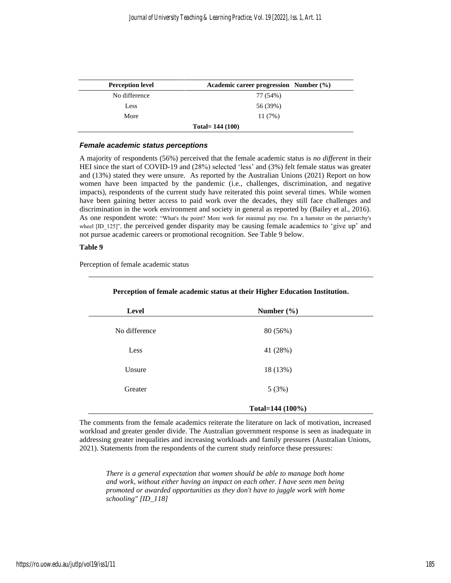| <b>Perception level</b> | Academic career progression Number (%) |
|-------------------------|----------------------------------------|
| No difference           | 77 (54%)                               |
| Less                    | 56 (39%)                               |
| More                    | 11(7%)                                 |
|                         | Total= $144(100)$                      |

## *Female academic status perceptions*

A majority of respondents (56%) perceived that the female academic status is *no different* in their HEI since the start of COVID-19 and (28%) selected 'less' and (3%) felt female status was greater and (13%) stated they were unsure. As reported by the Australian Unions (2021) Report on how women have been impacted by the pandemic (i.e., challenges, discrimination, and negative impacts), respondents of the current study have reiterated this point several times. While women have been gaining better access to paid work over the decades, they still face challenges and discrimination in the work environment and society in general as reported by (Bailey et al., 2016). As one respondent wrote: "What's the point? More work for minimal pay rise. I'm a hamster on the patriarchy's wheel [ID\_125]", the perceived gender disparity may be causing female academics to 'give up' and not pursue academic careers or promotional recognition. See Table 9 below.

# **Table 9**

Perception of female academic status

| Level         | Number $(\% )$   |  |
|---------------|------------------|--|
| No difference | 80 (56%)         |  |
| Less          | 41 (28%)         |  |
| Unsure        | 18 (13%)         |  |
| Greater       | 5(3%)            |  |
|               | Total=144 (100%) |  |

## **Perception of female academic status at their Higher Education Institution.**

The comments from the female academics reiterate the literature on lack of motivation, increased workload and greater gender divide. The Australian government response is seen as inadequate in addressing greater inequalities and increasing workloads and family pressures (Australian Unions, 2021). Statements from the respondents of the current study reinforce these pressures:

*There is a general expectation that women should be able to manage both home and work, without either having an impact on each other. I have seen men being promoted or awarded opportunities as they don't have to juggle work with home schooling" [ID\_118]*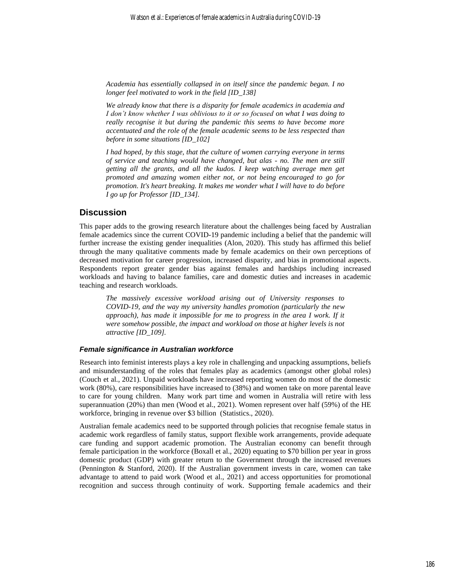*Academia has essentially collapsed in on itself since the pandemic began. I no longer feel motivated to work in the field [ID\_138]*

*We already know that there is a disparity for female academics in academia and I don't know whether I was oblivious to it or so focused on what I was doing to really recognise it but during the pandemic this seems to have become more accentuated and the role of the female academic seems to be less respected than before in some situations [ID\_102]*

*I had hoped, by this stage, that the culture of women carrying everyone in terms of service and teaching would have changed, but alas - no. The men are still getting all the grants, and all the kudos. I keep watching average men get promoted and amazing women either not, or not being encouraged to go for promotion. It's heart breaking. It makes me wonder what I will have to do before I go up for Professor [ID\_134].*

# **Discussion**

This paper adds to the growing research literature about the challenges being faced by Australian female academics since the current COVID-19 pandemic including a belief that the pandemic will further increase the existing gender inequalities (Alon, 2020). This study has affirmed this belief through the many qualitative comments made by female academics on their own perceptions of decreased motivation for career progression, increased disparity, and bias in promotional aspects. Respondents report greater gender bias against females and hardships including increased workloads and having to balance families, care and domestic duties and increases in academic teaching and research workloads.

*The massively excessive workload arising out of University responses to COVID-19, and the way my university handles promotion (particularly the new*  approach), has made it impossible for me to progress in the area I work. If it *were somehow possible, the impact and workload on those at higher levels is not attractive [ID\_109].*

#### *Female significance in Australian workforce*

Research into feminist interests plays a key role in challenging and unpacking assumptions, beliefs and misunderstanding of the roles that females play as academics (amongst other global roles) (Couch et al., 2021). Unpaid workloads have increased reporting women do most of the domestic work (80%), care responsibilities have increased to (38%) and women take on more parental leave to care for young children. Many work part time and women in Australia will retire with less superannuation (20%) than men (Wood et al., 2021). Women represent over half (59%) of the HE workforce, bringing in revenue over \$3 billion (Statistics., 2020).

Australian female academics need to be supported through policies that recognise female status in academic work regardless of family status, support flexible work arrangements, provide adequate care funding and support academic promotion. The Australian economy can benefit through female participation in the workforce (Boxall et al., 2020) equating to \$70 billion per year in gross domestic product (GDP) with greater return to the Government through the increased revenues (Pennington & Stanford, 2020). If the Australian government invests in care, women can take advantage to attend to paid work (Wood et al., 2021) and access opportunities for promotional recognition and success through continuity of work. Supporting female academics and their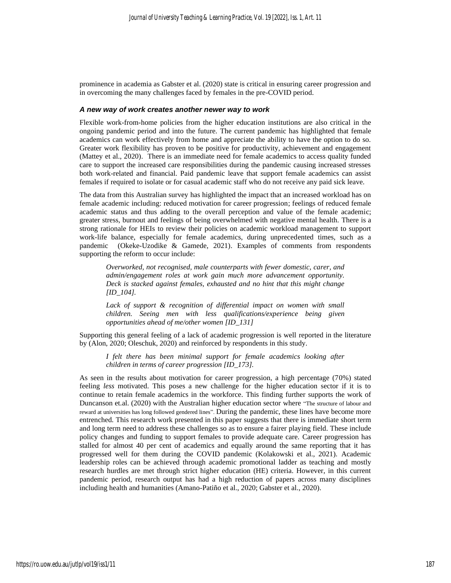prominence in academia as Gabster et al. (2020) state is critical in ensuring career progression and in overcoming the many challenges faced by females in the pre-COVID period.

## *A new way of work creates another newer way to work*

Flexible work-from-home policies from the higher education institutions are also critical in the ongoing pandemic period and into the future. The current pandemic has highlighted that female academics can work effectively from home and appreciate the ability to have the option to do so. Greater work flexibility has proven to be positive for productivity, achievement and engagement (Mattey et al., 2020). There is an immediate need for female academics to access quality funded care to support the increased care responsibilities during the pandemic causing increased stresses both work-related and financial. Paid pandemic leave that support female academics can assist females if required to isolate or for casual academic staff who do not receive any paid sick leave.

The data from this Australian survey has highlighted the impact that an increased workload has on female academic including: reduced motivation for career progression; feelings of reduced female academic status and thus adding to the overall perception and value of the female academic; greater stress, burnout and feelings of being overwhelmed with negative mental health. There is a strong rationale for HEIs to review their policies on academic workload management to support work-life balance, especially for female academics, during unprecedented times, such as a pandemic (Okeke-Uzodike & Gamede, 2021). Examples of comments from respondents supporting the reform to occur include:

*Overworked, not recognised, male counterparts with fewer domestic, carer, and admin/engagement roles at work gain much more advancement opportunity. Deck is stacked against females, exhausted and no hint that this might change [ID\_104].*

Lack of support & recognition of differential impact on women with small *children. Seeing men with less qualifications/experience being given opportunities ahead of me/other women [ID\_131]*

Supporting this general feeling of a lack of academic progression is well reported in the literature by (Alon, 2020; Oleschuk, 2020) and reinforced by respondents in this study.

*I felt there has been minimal support for female academics looking after children in terms of career progression [ID\_173].*

As seen in the results about motivation for career progression, a high percentage (70%) stated feeling *less* motivated. This poses a new challenge for the higher education sector if it is to continue to retain female academics in the workforce. This finding further supports the work of Duncanson et.al. (2020) with the Australian higher education sector where "The structure of labour and reward at universities has long followed gendered lines". During the pandemic, these lines have become more entrenched. This research work presented in this paper suggests that there is immediate short term and long term need to address these challenges so as to ensure a fairer playing field. These include policy changes and funding to support females to provide adequate care. Career progression has stalled for almost 40 per cent of academics and equally around the same reporting that it has progressed well for them during the COVID pandemic (Kolakowski et al., 2021). Academic leadership roles can be achieved through academic promotional ladder as teaching and mostly research hurdles are met through strict higher education (HE) criteria. However, in this current pandemic period, research output has had a high reduction of papers across many disciplines including health and humanities (Amano-Patiño et al., 2020; Gabster et al., 2020).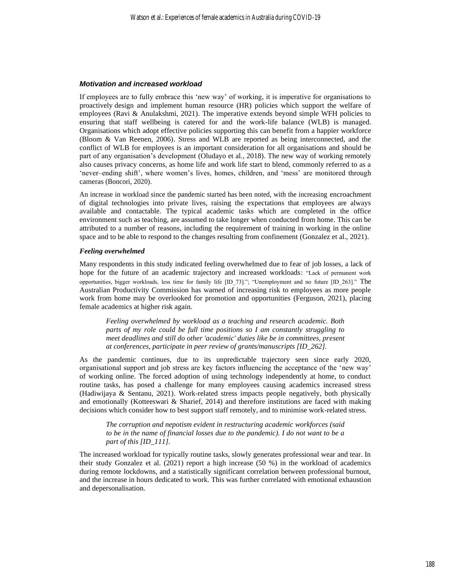#### *Motivation and increased workload*

If employees are to fully embrace this 'new way' of working, it is imperative for organisations to proactively design and implement human resource (HR) policies which support the welfare of employees (Ravi & Anulakshmi, 2021). The imperative extends beyond simple WFH policies to ensuring that staff wellbeing is catered for and the work-life balance (WLB) is managed. Organisations which adopt effective policies supporting this can benefit from a happier workforce (Bloom & Van Reenen, 2006). Stress and WLB are reported as being interconnected, and the conflict of WLB for employees is an important consideration for all organisations and should be part of any organisation's development (Oludayo et al., 2018). The new way of working remotely also causes privacy concerns, as home life and work life start to blend, commonly referred to as a 'never–ending shift', where women's lives, homes, children, and 'mess' are monitored through cameras (Boncori, 2020).

An increase in workload since the pandemic started has been noted, with the increasing encroachment of digital technologies into private lives, raising the expectations that employees are always available and contactable. The typical academic tasks which are completed in the office environment such as teaching, are assumed to take longer when conducted from home. This can be attributed to a number of reasons, including the requirement of training in working in the online space and to be able to respond to the changes resulting from confinement (Gonzalez et al., 2021).

## *Feeling overwhelmed*

Many respondents in this study indicated feeling overwhelmed due to fear of job losses, a lack of hope for the future of an academic trajectory and increased workloads: "Lack of permanent work opportunities, bigger workloads, less time for family life [ID\_73]."; "Unemployment and no future [ID\_263]." The Australian Productivity Commission has warned of increasing risk to employees as more people work from home may be overlooked for promotion and opportunities (Ferguson, 2021), placing female academics at higher risk again.

*Feeling overwhelmed by workload as a teaching and research academic. Both parts of my role could be full time positions so I am constantly struggling to meet deadlines and still do other 'academic' duties like be in committees, present at conferences, participate in peer review of grants/manuscripts [ID\_262].*

As the pandemic continues, due to its unpredictable trajectory seen since early 2020, organisational support and job stress are key factors influencing the acceptance of the 'new way' of working online. The forced adoption of using technology independently at home, to conduct routine tasks, has posed a challenge for many employees causing academics increased stress (Hadiwijaya & Sentanu, 2021). Work-related stress impacts people negatively, both physically and emotionally (Kotteeswari & Sharief, 2014) and therefore institutions are faced with making decisions which consider how to best support staff remotely, and to minimise work-related stress.

*The corruption and nepotism evident in restructuring academic workforces (said to be in the name of financial losses due to the pandemic). I do not want to be a part of this [ID\_111].*

The increased workload for typically routine tasks, slowly generates professional wear and tear. In their study Gonzalez et al. (2021) report a high increase (50 %) in the workload of academics during remote lockdowns, and a statistically significant correlation between professional burnout, and the increase in hours dedicated to work. This was further correlated with emotional exhaustion and depersonalisation.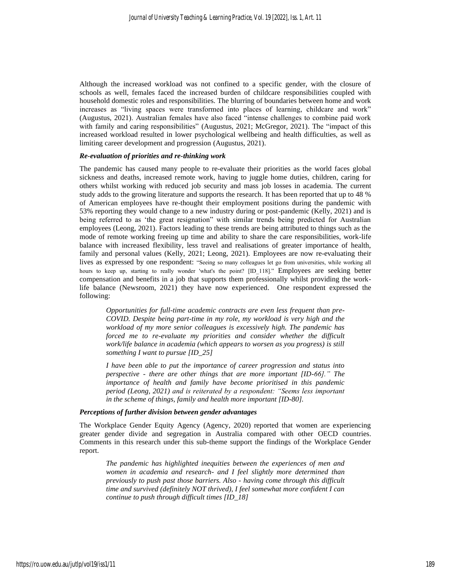Although the increased workload was not confined to a specific gender, with the closure of schools as well, females faced the increased burden of childcare responsibilities coupled with household domestic roles and responsibilities. The blurring of boundaries between home and work increases as "living spaces were transformed into places of learning, childcare and work" (Augustus, 2021). Australian females have also faced "intense challenges to combine paid work with family and caring responsibilities" (Augustus, 2021; McGregor, 2021). The "impact of this increased workload resulted in lower psychological wellbeing and health difficulties, as well as limiting career development and progression (Augustus, 2021).

#### *Re-evaluation of priorities and re-thinking work*

The pandemic has caused many people to re-evaluate their priorities as the world faces global sickness and deaths, increased remote work, having to juggle home duties, children, caring for others whilst working with reduced job security and mass job losses in academia. The current study adds to the growing literature and supports the research. It has been reported that up to 48 % of American employees have re-thought their employment positions during the pandemic with 53% reporting they would change to a new industry during or post-pandemic (Kelly, 2021) and is being referred to as 'the great resignation" with similar trends being predicted for Australian employees (Leong, 2021). Factors leading to these trends are being attributed to things such as the mode of remote working freeing up time and ability to share the care responsibilities, work-life balance with increased flexibility, less travel and realisations of greater importance of health, family and personal values (Kelly, 2021; Leong, 2021). Employees are now re-evaluating their lives as expressed by one respondent: "Seeing so many colleagues let go from universities, while working all hours to keep up, starting to really wonder 'what's the point? [ID\_118]." Employees are seeking better compensation and benefits in a job that supports them professionally whilst providing the worklife balance (Newsroom, 2021) they have now experienced. One respondent expressed the following:

*Opportunities for full-time academic contracts are even less frequent than pre-COVID. Despite being part-time in my role, my workload is very high and the workload of my more senior colleagues is excessively high. The pandemic has forced me to re-evaluate my priorities and consider whether the difficult work/life balance in academia (which appears to worsen as you progress) is still something I want to pursue [ID\_25]*

*I have been able to put the importance of career progression and status into perspective - there are other things that are more important [ID-66]." The importance of health and family have become prioritised in this pandemic period (Leong, 2021) and is reiterated by a respondent: "Seems less important in the scheme of things, family and health more important [ID-80].*

# *Perceptions of further division between gender advantages*

The Workplace Gender Equity Agency (Agency, 2020) reported that women are experiencing greater gender divide and segregation in Australia compared with other OECD countries. Comments in this research under this sub-theme support the findings of the Workplace Gender report.

*The pandemic has highlighted inequities between the experiences of men and women in academia and research- and I feel slightly more determined than previously to push past those barriers. Also - having come through this difficult time and survived (definitely NOT thrived), I feel somewhat more confident I can continue to push through difficult times [ID\_18]*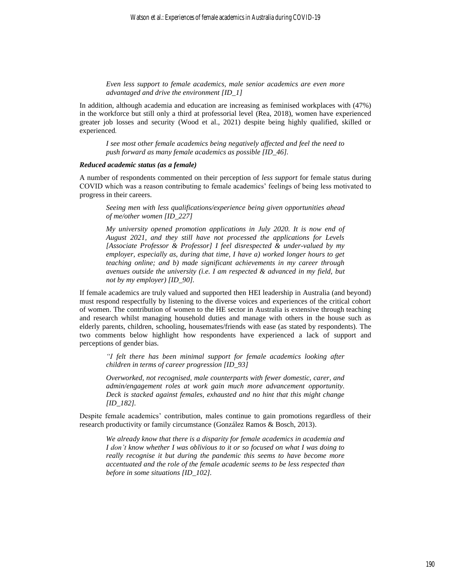*Even less support to female academics, male senior academics are even more advantaged and drive the environment [ID\_1]*

In addition, although academia and education are increasing as feminised workplaces with (47%) in the workforce but still only a third at professorial level (Rea, 2018), women have experienced greater job losses and security (Wood et al., 2021) despite being highly qualified, skilled or experienced.

*I see most other female academics being negatively affected and feel the need to push forward as many female academics as possible [ID\_46].*

#### *Reduced academic status (as a female)*

A number of respondents commented on their perception of *less support* for female status during COVID which was a reason contributing to female academics' feelings of being less motivated to progress in their careers.

*Seeing men with less qualifications/experience being given opportunities ahead of me/other women [ID\_227]*

*My university opened promotion applications in July 2020. It is now end of August 2021, and they still have not processed the applications for Levels [Associate Professor & Professor] I feel disrespected & under-valued by my employer, especially as, during that time, I have a) worked longer hours to get teaching online; and b) made significant achievements in my career through avenues outside the university (i.e. I am respected & advanced in my field, but not by my employer) [ID\_90].*

If female academics are truly valued and supported then HEI leadership in Australia (and beyond) must respond respectfully by listening to the diverse voices and experiences of the critical cohort of women. The contribution of women to the HE sector in Australia is extensive through teaching and research whilst managing household duties and manage with others in the house such as elderly parents, children, schooling, housemates/friends with ease (as stated by respondents). The two comments below highlight how respondents have experienced a lack of support and perceptions of gender bias.

*"I felt there has been minimal support for female academics looking after children in terms of career progression [ID\_93]*

*Overworked, not recognised, male counterparts with fewer domestic, carer, and admin/engagement roles at work gain much more advancement opportunity. Deck is stacked against females, exhausted and no hint that this might change [ID\_182].*

Despite female academics' contribution, males continue to gain promotions regardless of their research productivity or family circumstance (González Ramos & Bosch, 2013).

*We already know that there is a disparity for female academics in academia and I don't know whether I was oblivious to it or so focused on what I was doing to really recognise it but during the pandemic this seems to have become more accentuated and the role of the female academic seems to be less respected than before in some situations [ID\_102].*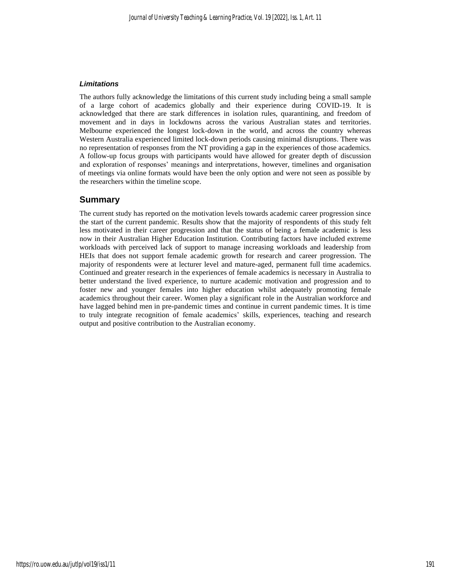## *Limitations*

The authors fully acknowledge the limitations of this current study including being a small sample of a large cohort of academics globally and their experience during COVID-19. It is acknowledged that there are stark differences in isolation rules, quarantining, and freedom of movement and in days in lockdowns across the various Australian states and territories. Melbourne experienced the longest lock-down in the world, and across the country whereas Western Australia experienced limited lock-down periods causing minimal disruptions. There was no representation of responses from the NT providing a gap in the experiences of those academics. A follow-up focus groups with participants would have allowed for greater depth of discussion and exploration of responses' meanings and interpretations, however, timelines and organisation of meetings via online formats would have been the only option and were not seen as possible by the researchers within the timeline scope.

# **Summary**

The current study has reported on the motivation levels towards academic career progression since the start of the current pandemic. Results show that the majority of respondents of this study felt less motivated in their career progression and that the status of being a female academic is less now in their Australian Higher Education Institution. Contributing factors have included extreme workloads with perceived lack of support to manage increasing workloads and leadership from HEIs that does not support female academic growth for research and career progression. The majority of respondents were at lecturer level and mature-aged, permanent full time academics. Continued and greater research in the experiences of female academics is necessary in Australia to better understand the lived experience, to nurture academic motivation and progression and to foster new and younger females into higher education whilst adequately promoting female academics throughout their career. Women play a significant role in the Australian workforce and have lagged behind men in pre-pandemic times and continue in current pandemic times. It is time to truly integrate recognition of female academics' skills, experiences, teaching and research output and positive contribution to the Australian economy.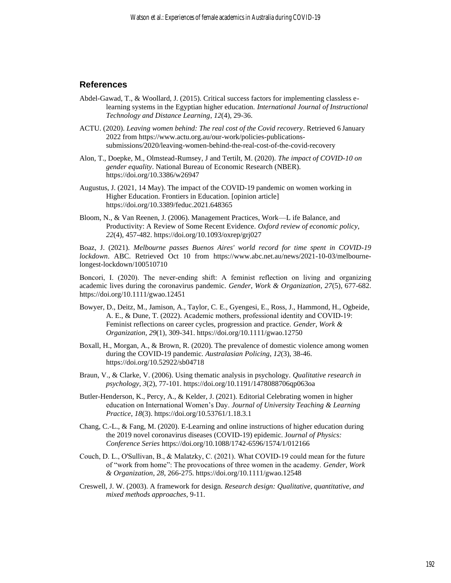# **References**

- Abdel-Gawad, T., & Woollard, J. (2015). Critical success factors for implementing classless elearning systems in the Egyptian higher education. *International Journal of Instructional Technology and Distance Learning*, *12*(4), 29-36.
- ACTU. (2020). *Leaving women behind: The real cost of the Covid recovery*. Retrieved 6 January 2022 from https://www.actu.org.au/our-work/policies-publicationssubmissions/2020/leaving-women-behind-the-real-cost-of-the-covid-recovery
- Alon, T., Doepke, M., Olmstead-Rumsey, J and Tertilt, M. (2020). *The impact of COVID-10 on gender equality*. National Bureau of Economic Research (NBER). https://doi.org/10.3386/w26947
- Augustus, J. (2021, 14 May). The impact of the COVID-19 pandemic on women working in Higher Education. Frontiers in Education. [opinion article] https://doi.org/10.3389/feduc.2021.648365
- Bloom, N., & Van Reenen, J. (2006). Management Practices, Work—L ife Balance, and Productivity: A Review of Some Recent Evidence. *Oxford review of economic policy*, *22*(4), 457-482. https://doi.org/10.1093/oxrep/grj027

Boaz, J. (2021). *Melbourne passes Buenos Aires' world record for time spent in COVID-19 lockdown*. ABC. Retrieved Oct 10 from [https://www.abc.net.au/news/2021-10-03/melbourne](ttps://www.abc.net.au/news/2021-10-03/melbourne-longest-lockdown/100510710)[longest-lockdown/100510710](ttps://www.abc.net.au/news/2021-10-03/melbourne-longest-lockdown/100510710)

Boncori, I. (2020). The never-ending shift: A feminist reflection on living and organizing academic lives during the coronavirus pandemic. *Gender, Work & Organization*, *27*(5), 677-682. https://doi.org/10.1111/gwao.12451

- Bowyer, D., Deitz, M., Jamison, A., Taylor, C. E., Gyengesi, E., Ross, J., Hammond, H., Ogbeide, A. E., & Dune, T. (2022). Academic mothers, professional identity and COVID‐19: Feminist reflections on career cycles, progression and practice. *Gender, Work & Organization*, *29*(1), 309-341. https://doi.org/10.1111/gwao.12750
- Boxall, H., Morgan, A., & Brown, R. (2020). The prevalence of domestic violence among women during the COVID-19 pandemic. *Australasian Policing*, *12*(3), 38-46. https://doi.org/10.52922/sb04718
- Braun, V., & Clarke, V. (2006). Using thematic analysis in psychology. *Qualitative research in psychology*, *3*(2), 77-101. https://doi.org/10.1191/1478088706qp063oa
- Butler-Henderson, K., Percy, A., & Kelder, J. (2021). Editorial Celebrating women in higher education on International Women's Day. *Journal of University Teaching & Learning Practice*, *18*(3). https://doi.org/10.53761/1.18.3.1
- Chang, C.-L., & Fang, M. (2020). E-Learning and online instructions of higher education during the 2019 novel coronavirus diseases (COVID-19) epidemic. J*ournal of Physics: Conference Series* https://doi.org/10.1088/1742-6596/1574/1/012166
- Couch, D. L., O'Sullivan, B., & Malatzky, C. (2021). What COVID‐19 could mean for the future of "work from home": The provocations of three women in the academy. *Gender, Work & Organization*, *28*, 266-275. https://doi.org/10.1111/gwao.12548
- Creswell, J. W. (2003). A framework for design. *Research design: Qualitative, quantitative, and mixed methods approaches*, 9-11.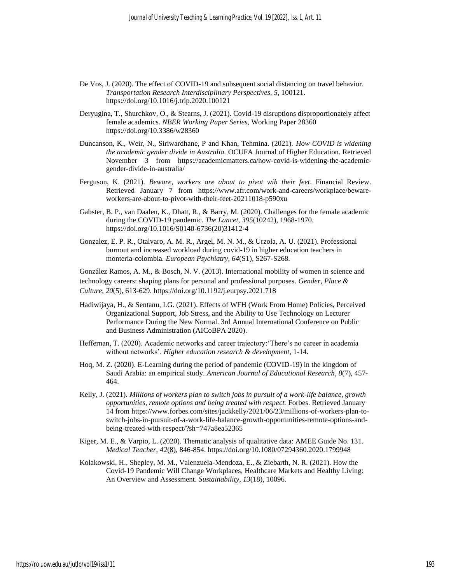- De Vos, J. (2020). The effect of COVID-19 and subsequent social distancing on travel behavior. *Transportation Research Interdisciplinary Perspectives*, *5*, 100121. https://doi.org/10.1016/j.trip.2020.100121
- Deryugina, T., Shurchkov, O., & Stearns, J. (2021). Covid-19 disruptions disproportionately affect female academics. *NBER Working Paper Series,* Working Paper 28360 https://doi.org/10.3386/w28360
- Duncanson, K., Weir, N., Siriwardhane, P and Khan, Tehmina. (2021). *How COVID is widening the academic gender divide in Australia.* OCUFA Journal of Higher Education. Retrieved November 3 from https://academicmatters.ca/how-covid-is-widening-the-academicgender-divide-in-australia/
- Ferguson, K. (2021). *Beware, workers are about to pivot wih their feet*. Financial Review. Retrieved January 7 from https://www.afr.com/work-and-careers/workplace/bewareworkers-are-about-to-pivot-with-their-feet-20211018-p590xu
- Gabster, B. P., van Daalen, K., Dhatt, R., & Barry, M. (2020). Challenges for the female academic during the COVID-19 pandemic. *The Lancet*, *395*(10242), 1968-1970. https://doi.org/10.1016/S0140-6736(20)31412-4
- Gonzalez, E. P. R., Otalvaro, A. M. R., Argel, M. N. M., & Urzola, A. U. (2021). Professional burnout and increased workload during covid-19 in higher education teachers in monteria-colombia. *European Psychiatry*, *64*(S1), S267-S268.

González Ramos, A. M., & Bosch, N. V. (2013). International mobility of women in science and technology careers: shaping plans for personal and professional purposes. *Gender, Place & Culture*, *20*(5), 613-629. https://doi.org/10.1192/j.eurpsy.2021.718

- Hadiwijaya, H., & Sentanu, I.G. (2021). Effects of WFH (Work From Home) Policies, Perceived Organizational Support, Job Stress, and the Ability to Use Technology on Lecturer Performance During the New Normal. 3rd Annual International Conference on Public and Business Administration (AICoBPA 2020).
- Heffernan, T. (2020). Academic networks and career trajectory:'There's no career in academia without networks'. *Higher education research & development*, 1-14.
- Hoq, M. Z. (2020). E-Learning during the period of pandemic (COVID-19) in the kingdom of Saudi Arabia: an empirical study. *American Journal of Educational Research*, *8*(7), 457- 464.
- Kelly, J. (2021). *Millions of workers plan to switch jobs in pursuit of a work-life balance, growth opportunities, remote options and being treated with respect.* Forbes. Retrieved January 14 from https://www.forbes.com/sites/jackkelly/2021/06/23/millions-of-workers-plan-toswitch-jobs-in-pursuit-of-a-work-life-balance-growth-opportunities-remote-options-andbeing-treated-with-respect/?sh=747a8ea52365
- Kiger, M. E., & Varpio, L. (2020). Thematic analysis of qualitative data: AMEE Guide No. 131. *Medical Teacher*, *42*(8), 846-854. https://doi.org/10.1080/07294360.2020.1799948
- Kolakowski, H., Shepley, M. M., Valenzuela-Mendoza, E., & Ziebarth, N. R. (2021). How the Covid-19 Pandemic Will Change Workplaces, Healthcare Markets and Healthy Living: An Overview and Assessment. *Sustainability*, *13*(18), 10096.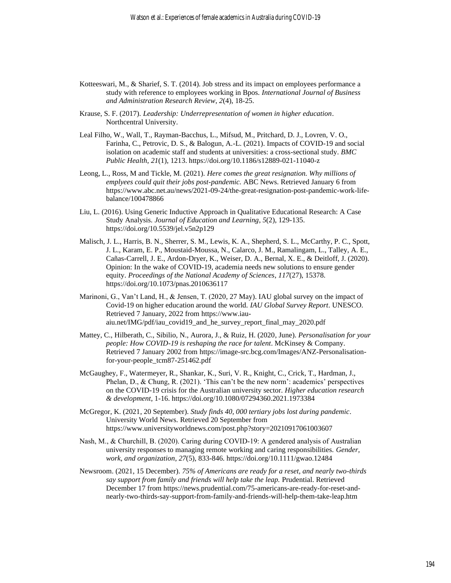- Kotteeswari, M., & Sharief, S. T. (2014). Job stress and its impact on employees performance a study with reference to employees working in Bpos. *International Journal of Business and Administration Research Review*, *2*(4), 18-25.
- Krause, S. F. (2017). *Leadership: Underrepresentation of women in higher education*. Northcentral University.
- Leal Filho, W., Wall, T., Rayman-Bacchus, L., Mifsud, M., Pritchard, D. J., Lovren, V. O., Farinha, C., Petrovic, D. S., & Balogun, A.-L. (2021). Impacts of COVID-19 and social isolation on academic staff and students at universities: a cross-sectional study. *BMC Public Health*, *21*(1), 1213. https://doi.org/10.1186/s12889-021-11040-z
- Leong, L., Ross, M and Tickle, M. (2021). *Here comes the great resignation. Why millions of emplyees could quit their jobs post-pandemic.* ABC News. Retrieved January 6 from https://www.abc.net.au/news/2021-09-24/the-great-resignation-post-pandemic-work-lifebalance/100478866
- Liu, L. (2016). Using Generic Inductive Approach in Qualitative Educational Research: A Case Study Analysis. *Journal of Education and Learning*, *5*(2), 129-135. https://doi.org/10.5539/jel.v5n2p129
- Malisch, J. L., Harris, B. N., Sherrer, S. M., Lewis, K. A., Shepherd, S. L., McCarthy, P. C., Spott, J. L., Karam, E. P., Moustaid-Moussa, N., Calarco, J. M., Ramalingam, L., Talley, A. E., Cañas-Carrell, J. E., Ardon-Dryer, K., Weiser, D. A., Bernal, X. E., & Deitloff, J. (2020). Opinion: In the wake of COVID-19, academia needs new solutions to ensure gender equity. *Proceedings of the National Academy of Sciences*, *117*(27), 15378. https://doi.org/10.1073/pnas.2010636117
- Marinoni, G., Van't Land, H., & Jensen, T. (2020, 27 May). IAU global survey on the impact of Covid-19 on higher education around the world. *IAU Global Survey Report*. UNESCO. Retrieved 7 January, 2022 from https://www.iauaiu.net/IMG/pdf/iau\_covid19\_and\_he\_survey\_report\_final\_may\_2020.pdf
- Mattey, C., Hilberath, C., Sibilio, N., Aurora, J., & Ruiz, H. (2020, June). *Personalisation for your people: How COVID-19 is reshaping the race for talent*. McKinsey & Company. Retrieved 7 January 2002 from https://image-src.bcg.com/Images/ANZ-Personalisationfor-your-people\_tcm87-251462.pdf
- McGaughey, F., Watermeyer, R., Shankar, K., Suri, V. R., Knight, C., Crick, T., Hardman, J., Phelan, D., & Chung, R. (2021). 'This can't be the new norm': academics' perspectives on the COVID-19 crisis for the Australian university sector. *Higher education research & development*, 1-16. https://doi.org/10.1080/07294360.2021.1973384
- McGregor, K. (2021, 20 September). *Study finds 40, 000 tertiary jobs lost during pandemic*. University World News. Retrieved 20 September from https://www.universityworldnews.com/post.php?story=20210917061003607
- Nash, M., & Churchill, B. (2020). Caring during COVID-19: A gendered analysis of Australian university responses to managing remote working and caring responsibilities. *Gender, work, and organization*, *27*(5), 833-846. https://doi.org/10.1111/gwao.12484
- Newsroom. (2021, 15 December). *75% of Americans are ready for a reset, and nearly two-thirds say support from family and friends will help take the leap.* Prudential. Retrieved December 17 from https://news.prudential.com/75-americans-are-ready-for-reset-andnearly-two-thirds-say-support-from-family-and-friends-will-help-them-take-leap.htm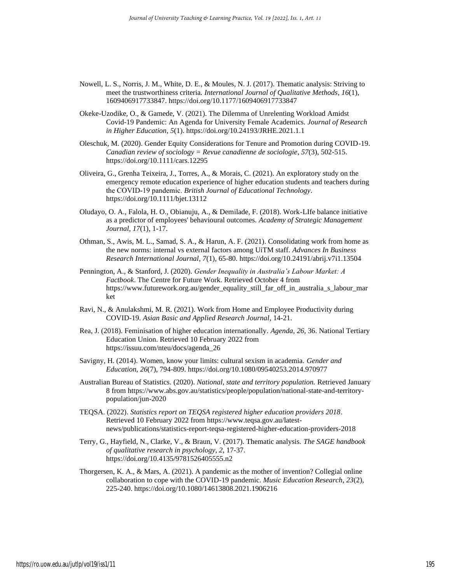- Nowell, L. S., Norris, J. M., White, D. E., & Moules, N. J. (2017). Thematic analysis: Striving to meet the trustworthiness criteria. *International Journal of Qualitative Methods*, *16*(1), 1609406917733847. https://doi.org/10.1177/1609406917733847
- Okeke-Uzodike, O., & Gamede, V. (2021). The Dilemma of Unrelenting Workload Amidst Covid-19 Pandemic: An Agenda for University Female Academics. *Journal of Research in Higher Education*, *5*(1). https://doi.org/10.24193/JRHE.2021.1.1
- Oleschuk, M. (2020). Gender Equity Considerations for Tenure and Promotion during COVID-19. *Canadian review of sociology = Revue canadienne de sociologie*, *57*(3), 502-515. https://doi.org/10.1111/cars.12295
- Oliveira, G., Grenha Teixeira, J., Torres, A., & Morais, C. (2021). An exploratory study on the emergency remote education experience of higher education students and teachers during the COVID‐19 pandemic. *British Journal of Educational Technology*. https://doi.org/10.1111/bjet.13112
- Oludayo, O. A., Falola, H. O., Obianuju, A., & Demilade, F. (2018). Work-LIfe balance initiative as a predictor of employees' behavioural outcomes. *Academy of Strategic Management Journal*, *17*(1), 1-17.
- Othman, S., Awis, M. L., Samad, S. A., & Harun, A. F. (2021). Consolidating work from home as the new norms: internal vs external factors among UiTM staff. *Advances In Business Research International Journal*, *7*(1), 65-80. https://doi.org/10.24191/abrij.v7i1.13504
- Pennington, A., & Stanford, J. (2020). *Gender Inequality in Australia's Labour Market: A Factbook*. The Centre for Future Work. Retrieved October 4 from https://www.futurework.org.au/gender\_equality\_still\_far\_off\_in\_australia\_s\_labour\_mar ket
- Ravi, N., & Anulakshmi, M. R. (2021). Work from Home and Employee Productivity during COVID-19. *Asian Basic and Applied Research Journal*, 14-21.
- Rea, J. (2018). Feminisation of higher education internationally. *Agenda*, *26*, 36. National Tertiary Education Union. Retrieved 10 February 2022 from https://issuu.com/nteu/docs/agenda\_26
- Savigny, H. (2014). Women, know your limits: cultural sexism in academia. *Gender and Education*, *26*(7), 794-809. https://doi.org/10.1080/09540253.2014.970977
- Australian Bureau of Statistics. (2020). *National, state and territory population.* Retrieved January 8 from https://www.abs.gov.au/statistics/people/population/national-state-and-territorypopulation/jun-2020
- TEQSA. (2022). *Statistics report on TEQSA registered higher education providers 2018*. Retrieved 10 February 2022 from https://www.teqsa.gov.au/latestnews/publications/statistics-report-teqsa-registered-higher-education-providers-2018
- Terry, G., Hayfield, N., Clarke, V., & Braun, V. (2017). Thematic analysis. *The SAGE handbook of qualitative research in psychology*, *2*, 17-37. https://doi.org/10.4135/9781526405555.n2
- Thorgersen, K. A., & Mars, A. (2021). A pandemic as the mother of invention? Collegial online collaboration to cope with the COVID-19 pandemic. *Music Education Research*, *23*(2), 225-240. https://doi.org/10.1080/14613808.2021.1906216